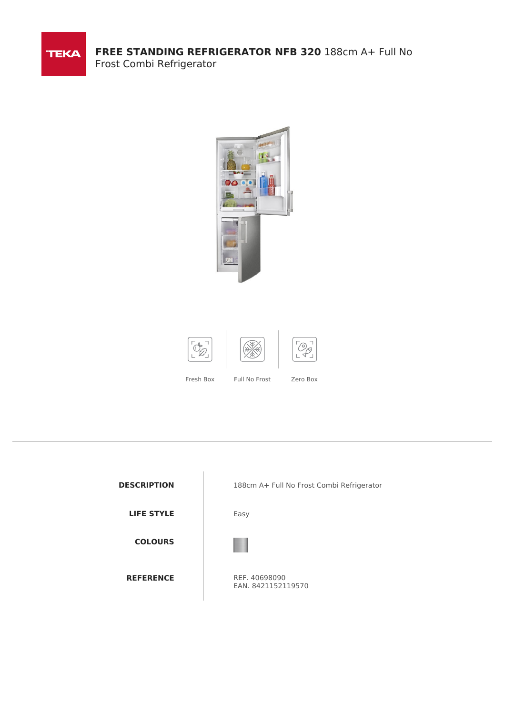

**FREE STANDING REFRIGERATOR NFB 320** 188cm A+ Full No Frost Combi Refrigerator





Fresh Box Full No Frost Zero Box

**COLOURS**

**DESCRIPTION** 188cm A+ Full No Frost Combi Refrigerator

**LIFE STYLE** Easy



**REFERENCE** REF. 40698090 EAN. 8421152119570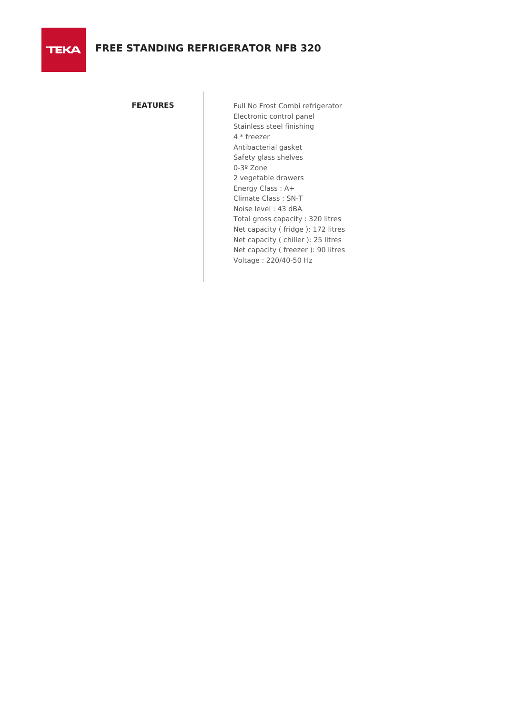**TEKA** 

**FEATURES** Full No Frost Combi refrigerator Electronic control panel Stainless steel finishing 4 \* freezer Antibacterial gasket Safety glass shelves 0-3º Zone 2 vegetable drawers Energy Class : A+ Climate Class : SN-T Noise level : 43 dBA Total gross capacity : 320 litres Net capacity ( fridge ): 172 litres Net capacity ( chiller ): 25 litres Net capacity ( freezer ): 90 litres Voltage : 220/40-50 Hz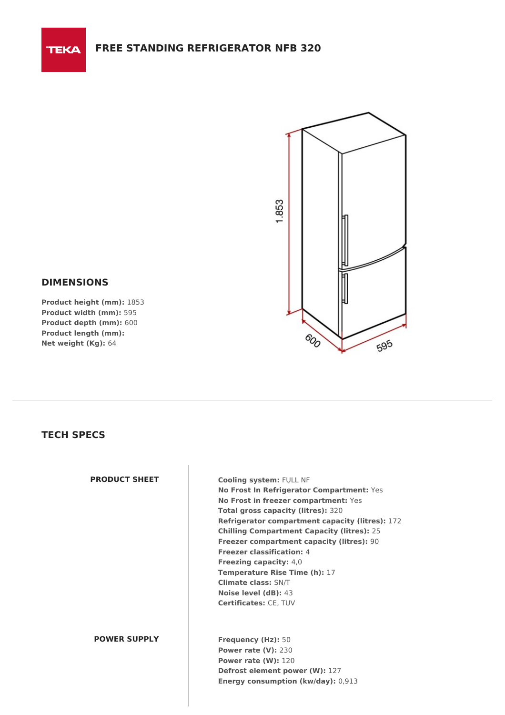

# **DIMENSIONS**

**TEKA** 

**Product height (mm):** 1853 **Product width (mm):** 595 **Product depth (mm):** 600 **Product length (mm): Net weight (Kg):** 64

# **TECH SPECS**

**PRODUCT SHEET Cooling system:** FULL NF **No Frost In Refrigerator Compartment:** Yes **No Frost in freezer compartment:** Yes **Total gross capacity (litres):** 320 **Refrigerator compartment capacity (litres):** 172 **Chilling Compartment Capacity (litres):** 25 **Freezer compartment capacity (litres):** 90 **Freezer classification:** 4 **Freezing capacity:** 4,0 **Temperature Rise Time (h):** 17 **Climate class:** SN/T **Noise level (dB):** 43 **Certificates:** CE, TUV

## **POWER SUPPLY Frequency (Hz):** 50

**Power rate (V):** 230 **Power rate (W):** 120 **Defrost element power (W):** 127 **Energy consumption (kw/day):** 0,913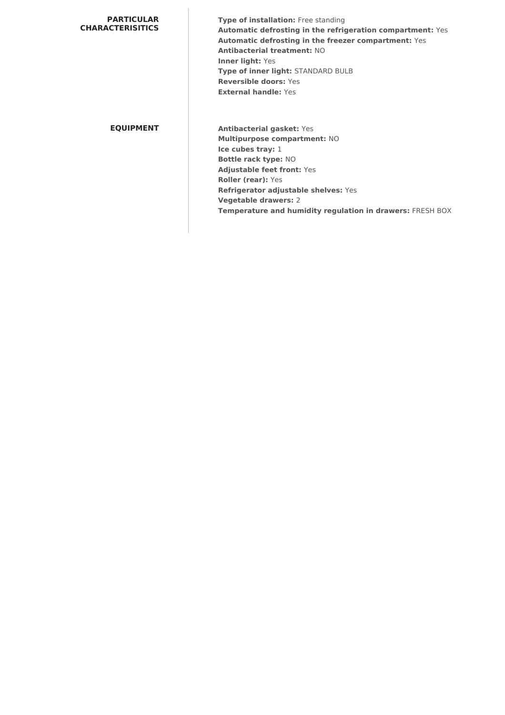### **PARTICULAR CHARACTERISITICS**

**Type of installation:** Free standing **Automatic defrosting in the refrigeration compartment:** Yes **Automatic defrosting in the freezer compartment:** Yes **Antibacterial treatment:** NO **Inner light:** Yes **Type of inner light:** STANDARD BULB **Reversible doors:** Yes **External handle:** Yes

**EQUIPMENT Antibacterial gasket:** Yes **Multipurpose compartment:** NO **Ice cubes tray:** 1 **Bottle rack type:** NO **Adjustable feet front:** Yes **Roller (rear):** Yes **Refrigerator adjustable shelves:** Yes **Vegetable drawers:** 2 **Temperature and humidity regulation in drawers:** FRESH BOX